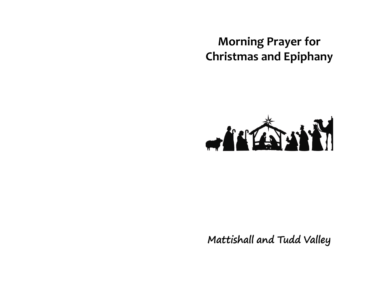# Morning Prayer for Christmas and Epiphany



Mattishall and Tudd Valley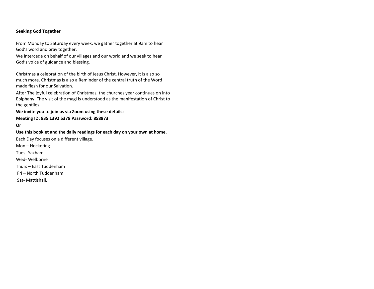## Seeking God Together

From Monday to Saturday every week, we gather together at 9am to hear God's word and pray together.

We intercede on behalf of our villages and our world and we seek to hear God's voice of guidance and blessing.

Christmas a celebration of the birth of Jesus Christ. However, it is also so much more. Christmas is also a Reminder of the central truth of the Word made flesh for our Salvation.

After The joyful celebration of Christmas, the churches year continues on into Epiphany. The visit of the magi is understood as the manifestation of Christ to the gentiles.

# We invite you to join us via Zoom using these details:Meeting ID: 835 1392 5378 Password: 858873

#### Or

Use this booklet and the daily readings for each day on your own at home. Each Day focuses on a different village. Mon – Hockering Tues- Yaxham

Wed- Welborne

Thurs – East Tuddenham

Fri – North Tuddenham

Sat- Mattishall.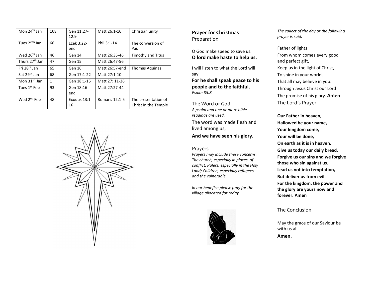| Mon $24th$ Jan             | 108 | Gen 11:27-<br>12:9 | Matt 26:1-16   | Christian unity                             |
|----------------------------|-----|--------------------|----------------|---------------------------------------------|
| Tues 25 <sup>th</sup> Jan  | 66  | Ezek 3:22-<br>end  | Phil 3:1-14    | The conversion of<br>Paul                   |
| Wed 26 <sup>th</sup> Jan   | 46  | Gen 14             | Matt 26:36-46  | <b>Timothy and Titus</b>                    |
| Thurs 27 <sup>th</sup> Jan | 47  | Gen 15             | Matt 26:47-56  |                                             |
| Fri 28 <sup>th</sup> Jan   | 65  | Gen 16             | Matt 26:57-end | Thomas Aguinas                              |
| Sat 29 <sup>th</sup> Jan   | 68  | Gen 17:1-22        | Matt 27:1-10   |                                             |
| Mon $31st$ Jan             | 1   | Gen 18:1-15        | Matt 27: 11-26 |                                             |
| Tues 1 <sup>st</sup> Feb   | 93  | Gen 18:16-<br>end  | Matt 27:27-44  |                                             |
| Wed 2 <sup>nd</sup> Feb    | 48  | Exodus 13:1-<br>16 | Romans 12:1-5  | The presentation of<br>Christ in the Temple |



# Prayer for Christmas Preparation

O God make speed to save us. O lord make haste to help us.

I will listen to what the Lord will say. For he shall speak peace to his people and to the faithful. Psalm 85:8

The Word of God A psalm and one or more bible readings are used. The word was made flesh and lived among us,

### And we have seen his glory.

## Prayers

Prayers may include these concerns: The church, especially in places of conflict; Rulers; especially in the Holy Land; Children, especially refugees and the vulnerable.

In our benefice please pray for the village allocated for today



The collect of the day or the following prayer is said.

Father of lights From whom comes every good and perfect gift, Keep us in the light of Christ, To shine in your world, That all may believe in you. Through Jesus Christ our Lord The promise of his glory. **Amen** The Lord's Prayer

Our Father in heaven, Hallowed be your name, Your kingdom come, Your will be done, On earth as it is in heaven. Give us today our daily bread. Forgive us our sins and we forgive those who sin against us. Lead us not into temptation, But deliver us from evil. For the kingdom, the power and the glory are yours now and forever. Amen

## The Conclusion

May the grace of our Saviour be with us all.

Amen.